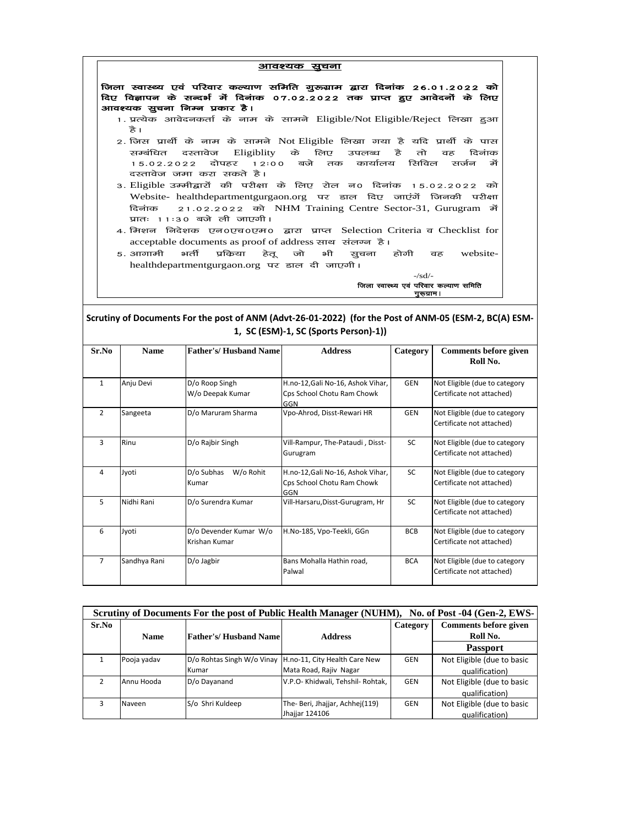|              |                                         |                                                                                                                                      | आवश्यक सूचना                                                                                                                                                                                                                                                                                                                                                                                                                                                                                                                                                                                                                                                     |                    |                                                            |
|--------------|-----------------------------------------|--------------------------------------------------------------------------------------------------------------------------------------|------------------------------------------------------------------------------------------------------------------------------------------------------------------------------------------------------------------------------------------------------------------------------------------------------------------------------------------------------------------------------------------------------------------------------------------------------------------------------------------------------------------------------------------------------------------------------------------------------------------------------------------------------------------|--------------------|------------------------------------------------------------|
|              | हे ।<br>सम्बंधित<br>15.02.2022<br>दिनाक | आवश्यक सूचना निम्न प्रकार है।<br>Eligiblity<br>दस्तावेज<br>दोपहर<br>12:00<br>दस्तावेज जमा करा सकते है।<br>प्रातः ।।ः३० बजे ली जाएगी। | जिला स्वास्थ्य एवं परिवार कल्याण समिति गुरूग्राम द्वारा दिनांक २६.०१.२०२२ को<br>दिए विज्ञापन के सन्दर्भ में दिनांक 07.02.2022 तक प्राप्त हुए आवेदनों के लिए<br>1. प्रत्येक आवेदनकर्ता के नाम के सामने Eligible/Not Eligible/Reject लिखा हुआ<br>2. जिस प्रार्थी के नाम के सामने Not Eligible लिखा गया है यदि प्रार्थी के पास<br>के<br>लिए<br>उपलब्ध<br>कार्यालय<br>बजे<br>तक<br>3. Eligible उम्मीद्वारों की परीक्षा के लिए रोल न0 दिनांक<br>Website- healthdepartmentgurgaon.org पर डाल दिए जाएंगें जिनकी परीक्षा<br>21.02.2022 को NHM Training Centre Sector-31, Gurugram में<br>4. मिशन  निदेशक  एन0एच0एम0  द्वारा  प्राप्त  Selection Criteria व Checklist for | हे<br>तो<br>रिनविल | दिनाक<br>वह<br>सर्जन<br>र्मे<br>को<br>15.02.2022           |
|              |                                         |                                                                                                                                      | acceptable documents as proof of address साथ संलग्न है।                                                                                                                                                                                                                                                                                                                                                                                                                                                                                                                                                                                                          |                    |                                                            |
|              | ५. आगामी                                | भर्ती<br>प्रकिया<br>हेत्र<br>healthdepartmentgurgaon.org पर डाल दी जाएगी।                                                            | जो<br>भी<br>ञ्चचना                                                                                                                                                                                                                                                                                                                                                                                                                                                                                                                                                                                                                                               | होगी               | website-<br>वह                                             |
|              |                                         |                                                                                                                                      |                                                                                                                                                                                                                                                                                                                                                                                                                                                                                                                                                                                                                                                                  | $-\frac{sd}{-}$    |                                                            |
|              |                                         |                                                                                                                                      |                                                                                                                                                                                                                                                                                                                                                                                                                                                                                                                                                                                                                                                                  | गुरूग्राम।         | जिला स्वास्थ्य एवं परिवार कल्याण समिति                     |
| Sr.No        | <b>Name</b>                             | <b>Father's/Husband Name</b>                                                                                                         | Scrutiny of Documents For the post of ANM (Advt-26-01-2022) (for the Post of ANM-05 (ESM-2, BC(A) ESM-<br>1, SC (ESM)-1, SC (Sports Person)-1))<br><b>Address</b>                                                                                                                                                                                                                                                                                                                                                                                                                                                                                                | Category           | <b>Comments before given</b>                               |
|              |                                         |                                                                                                                                      |                                                                                                                                                                                                                                                                                                                                                                                                                                                                                                                                                                                                                                                                  |                    | Roll No.                                                   |
| $\mathbf{1}$ | Anju Devi                               | D/o Roop Singh<br>W/o Deepak Kumar                                                                                                   | H.no-12, Gali No-16, Ashok Vihar,<br>Cps School Chotu Ram Chowk<br>GGN                                                                                                                                                                                                                                                                                                                                                                                                                                                                                                                                                                                           | <b>GEN</b>         | Not Eligible (due to category<br>Certificate not attached) |
| 2            | Sangeeta                                | D/o Maruram Sharma                                                                                                                   | Vpo-Ahrod, Disst-Rewari HR                                                                                                                                                                                                                                                                                                                                                                                                                                                                                                                                                                                                                                       | GEN                | Not Eligible (due to category<br>Certificate not attached) |
| 3            | Rinu                                    | D/o Rajbir Singh                                                                                                                     | Vill-Rampur, The-Pataudi, Disst-<br>Gurugram                                                                                                                                                                                                                                                                                                                                                                                                                                                                                                                                                                                                                     | SC                 | Not Eligible (due to category<br>Certificate not attached) |
| 4            | Jyoti                                   | D/o Subhas<br>W/o Rohit<br>Kumar                                                                                                     | H.no-12, Gali No-16, Ashok Vihar,<br>Cps School Chotu Ram Chowk<br>GGN                                                                                                                                                                                                                                                                                                                                                                                                                                                                                                                                                                                           | SC                 | Not Eligible (due to category<br>Certificate not attached) |
|              | Nidhi Rani                              | D/o Surendra Kumar                                                                                                                   | Vill-Harsaru, Disst-Gurugram, Hr                                                                                                                                                                                                                                                                                                                                                                                                                                                                                                                                                                                                                                 | SC                 | Not Eligible (due to category<br>Certificate not attached) |
| 5            |                                         |                                                                                                                                      |                                                                                                                                                                                                                                                                                                                                                                                                                                                                                                                                                                                                                                                                  |                    |                                                            |
| 6            | Jyoti                                   | D/o Devender Kumar W/o<br>Krishan Kumar                                                                                              | H.No-185, Vpo-Teekli, GGn                                                                                                                                                                                                                                                                                                                                                                                                                                                                                                                                                                                                                                        | BCB                | Not Eligible (due to category<br>Certificate not attached) |

| Scrutiny of Documents For the post of Public Health Manager (NUHM), No. of Post -04 (Gen-2, EWS- |             |                              |                                                          |            |                            |
|--------------------------------------------------------------------------------------------------|-------------|------------------------------|----------------------------------------------------------|------------|----------------------------|
| Sr.No                                                                                            |             |                              |                                                          | Category   | Comments before given      |
|                                                                                                  | <b>Name</b> | <b>Father's/Husband Name</b> | <b>Address</b>                                           |            | Roll No.                   |
|                                                                                                  |             |                              |                                                          |            | <b>Passport</b>            |
|                                                                                                  | Pooja yadav |                              | D/o Rohtas Singh W/o Vinay H.no-11, City Health Care New | GEN        | Not Eligible (due to basic |
|                                                                                                  |             | Kumar                        | Mata Road, Rajiv Nagar                                   |            | qualification)             |
|                                                                                                  | Annu Hooda  | D/o Dayanand                 | V.P.O- Khidwali, Tehshil- Rohtak,                        | <b>GEN</b> | Not Eligible (due to basic |
|                                                                                                  |             |                              |                                                          |            | qualification)             |
|                                                                                                  | Naveen      | S/o Shri Kuldeep             | The- Beri, Jhajjar, Achhej(119)                          | GEN        | Not Eligible (due to basic |
|                                                                                                  |             |                              | Jhajjar 124106                                           |            | qualification)             |